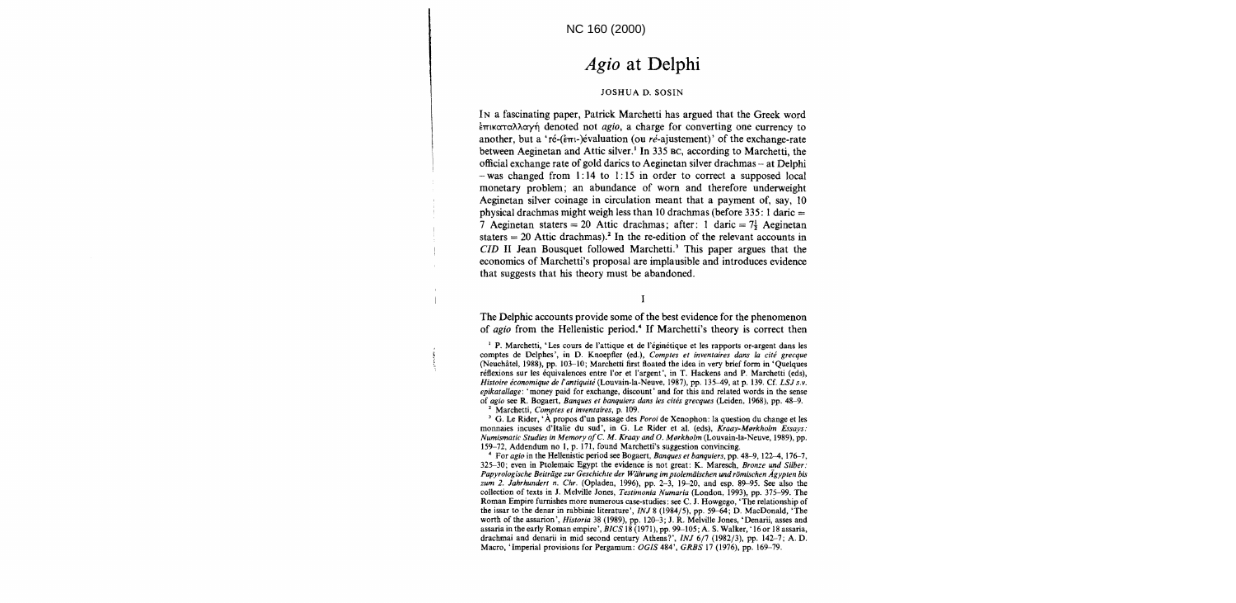# *Agio* **at Delphi**

#### JOSHUA D. SOSIN

IN a fascinating paper, Patrick Marchetti has argued that the Greek word  $\frac{1}{2}$ <sub>trik</sub> $\alpha$ <sup>2</sup> $\alpha$  denoted not *agio*, a charge for converting one currency to another, but a 'ré- $(\epsilon_{\pi i}$ -)évaluation (ou ré-ajustement)' of the exchange-rate between Aeginetan and Attic silver.<sup>1</sup> In 335 BC, according to Marchetti, the official exchange rate of gold darics to Aeginetan silver drachmas - at Delphi  $-$  was changed from 1:14 to 1:15 in order to correct a supposed local monetary problem; an abundance of worn and therefore underweight Aeginetan silver coinage in circulation meant that a payment of, say, 10 physical drachmas might weigh less than 10 drachmas (before  $335:1$  daric  $=$ 7 Aeginetan staters = 20 Attic drachmas; after: 1 daric =  $7\frac{1}{2}$  Aeginetan staters  $= 20$  Attic drachmas).<sup>2</sup> In the re-edition of the relevant accounts in *CID* II Jean Bousquet followed Marchetti.<sup>3</sup> This paper argues that the economics of Marchetti's proposal are implausible and introduces evidence that suggests that his theory must be abandoned.

 $\mathbf{I}$ 

The Delphic accounts provide some of the best evidence for the phenomenon of agio from the Hellenistic period.<sup>4</sup> If Marchetti's theory is correct then

<sup>1</sup> P. Marchetti, 'Les cours de l'attique et de l'éginétique et les rapports or-argent dans les comptes de Delphes', in D. Knoepfler (ed.), *Comptes et inventaires dans la cite grecque*  (Neuchatel, 1988), pp. 103--10; Marchetti first floated the idea in very brief form in 'Quelques réflexions sur les équivalences entre l'or et l'argent', in T. Hackens and P. Marchetti (eds), *Histoire economique de rantiquire* (Louvain-Ia-Neuve, 1987), pp. 135-49, at p. 139. Cf. *LSJ s.v. epikatallage:* 'money paid for exchange, discount' and for this and related words in the sense of *agio* see R. Bogaert, *Banques et banquiers dans les cites grecques* (Leiden. 1968). pp. 48-9. 2 Marchetti, *Comptes et inventaires.* p. 109.

J G. Le Rider, 'A propos d'un passage des *Poroi* de Xenophon: la question du change et les monnaies incuses d'Italie du sud', in G. Le Rider et al. (eds), *Kraay-Morkholm Essays*: *Numismatic Studies in Memory ole. M. Kraay and* O. *Mfilrkholm* (Louvain-Ia-Neuve, 1989), pp. 159-72, Addendum no I, p. 17l, found Marchetti's suggestion convincing.

<sup>4</sup>For *agio* in the Hellenistic period see Bogaert, *Banques et banquiers,* pp. 48-9,122-4, 176-7, 325--30; even in Ptolemaic Egypt the evidence is not great: K. Maresch, *Bronze und Silber:*  Papyrologische Beiträge zur Geschichte der Währung im ptolemäischen und römischen Ägypten bis *zum* 2. *Jahrhundert n. Chr.* (Opladen, 1996), pp. 2-3, 19-20, and esp. 89-95. See also the collection of texts in J. Melville Jones, *Testimonia Numaria* (London, 1993), pp. 375--99. The Roman Empire furnishes more numerous case-studies: see C. J. Howgego, 'The relationship of the issar to the denar in rabbinic literature', *INJ* 8 (1984/5), pp. 59-64; D. MacDonald, 'The worth of the assarion', *Historia* 38 (1989), pp. 120-3; J. R. Melville Jones, 'Denarii, asses and assaria in the early Roman empire', *BICS* 18 (1971), pp. 99-105; A. S. Walker, '16or 18 assaria, drachmai and denarii in mid second century Athens?', *INJ* 6/1 (1982/3), pp. 142-7; A. D. Macro, 'Imperial provisions for Pergamum: *OGIS* 484', *GRBS* 17 (1976), pp. 169-79.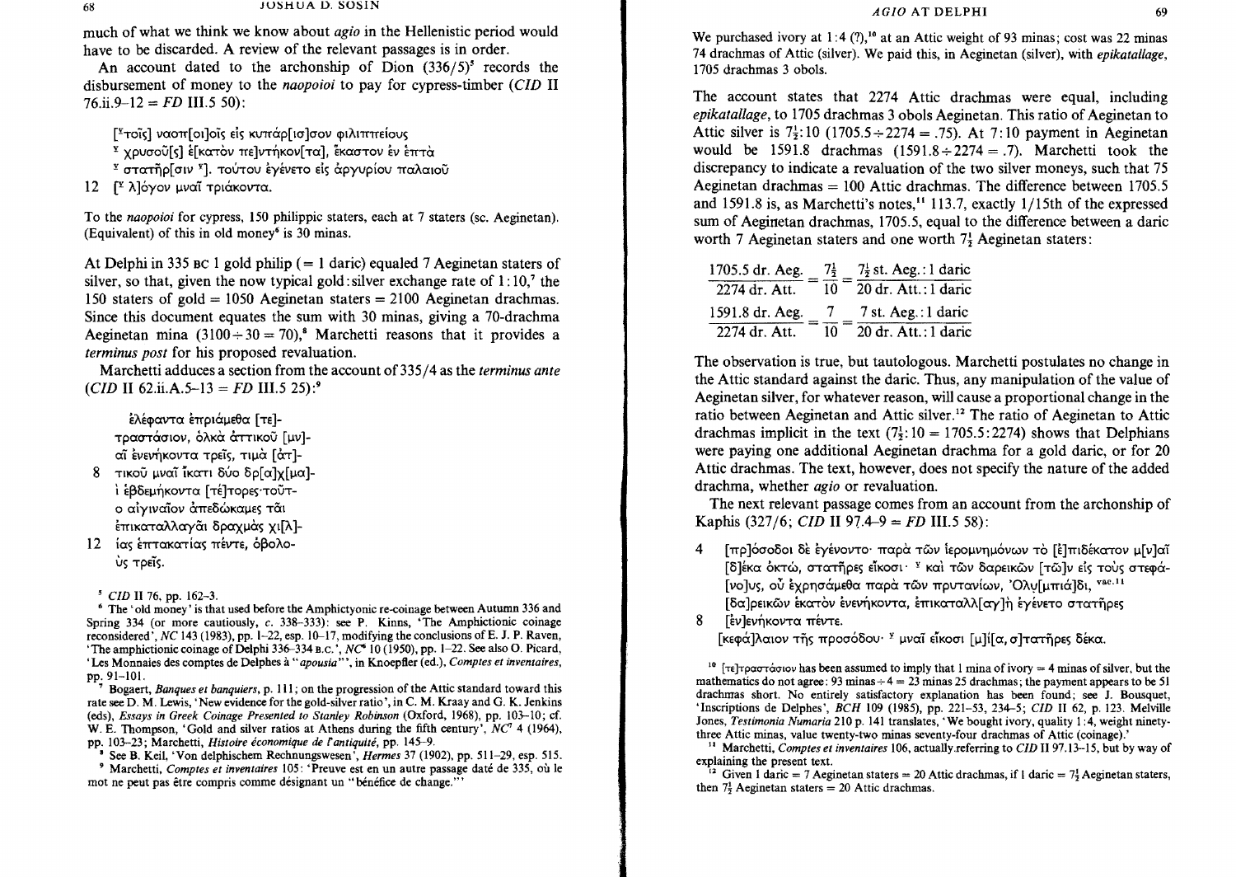much of what we think we know about *agio* in the Hellenistic period would have to be discarded. A review of the relevant passages is in order.

An account dated to the archonship of Dion  $(336/5)^5$  records the disbursement of money to the *naopoioi* to pay for cypress-timber *(CID* II  $76.ii.9-12 = FD$  III.5 50):

[<sup>γ</sup>τοΐς] ναοπ[οι]οΐς είς κυπάρ[ ισ]σον φιλιππείους

- <sup>Σ</sup> χρυσοῦ[ς] ε[κατὸν πε]ντήκον[τα], εκαστον εν επτά
- <sup>Σ</sup> στατῆρ[σιν <sup>Σ</sup>]. τούτου εγένετο είς άργυρίου παλαιοῦ
- 12 <sup>γ</sup> λ]όγον μναΐ τριάκοντα.

To the *naopoioi* for cypress, 150 philippic staters, each at 7 staters (sc. Aeginetan). (Equivalent) of this in old money<sup>6</sup> is 30 minas.

At Delphi in 335 BC 1 gold philip ( $= 1$  daric) equaled 7 Aeginetan staters of silver, so that, given the now typical gold: silver exchange rate of  $1:10<sup>7</sup>$  the 150 staters of gold = 1050 Aeginetan staters = 2100 Aeginetan drachmas. Since this document equates the sum with 30 minas, giving a 70-drachma Aeginetan mina  $(3100 \div 30 = 70)$ ,<sup>8</sup> Marchetti reasons that it provides a *terminus post* for his proposed revaluation.

Marchetti adduces a section from the account of 335/4 as the *terminus ante*   $(CID \text{ II } 62 \text{.ii}. \text{A.5--13} = FD \text{ III.5 } 25$ :<sup>9</sup>

Ελέφαντα επριάμεθα [τε]τραστάσιον, όλκα άττικού [μν]αι ένενήκοντα τρείς, τιμά [άτ]-8 τικού μναΐ *ι*κατι δύο δρ[α]γ[μα]-

- <sup>1</sup> εβδεμήκοντα [τέ]τορες·τοῦτο αίγιναΐον άπεδώκαμες τάι επικαταλλαγαι δραχμάς χι[λ]-
- 12 ίας έπτακατίας πέντε, όβολο-US Tpeis.

*• ClD* II 76, pp. 162-3.

• The' old money' is that used before the Amphictyonie re-coinage between Autumn 336 and Spring 334 (or more cautiously, c. 338-333): see P. Kinns, 'The Amphietionic coinage reconsidered', *NC* 143 (1983), pp. 1-22, esp. 10-17, modifying the conclusions ofE. J. P. Raven, 'The amphictionic coinage of Delphi 336-334 B.C.',  $NC<sup>6</sup>$  10 (1950), pp. 1-22. See also O. Picard, 'Les Monnaies des comptes de Delphes à "apousia"', in Knoepfler (ed.), *Comptes et inventaires*, pp.91-101.

7 Bogaert, *Banques et banquiers,* p. III; on the progression of the Attic standard toward this rate see D. M. Lewis, 'New evidence for the gold-silver ratio', in C. M. Kraay and G. K. Jenkins (eds), *Essays in Greek Coinage Presented to Stanley Robinson* (Oxford, 1968), pp. 103--10; cf. W. E. Thompson, 'Gold and silver ratios at Athens during the fifth century',  $NC^7$  4 (1964), pp. 103--23; Marchetti, *Histoire economique* de *fantiquite,* pp. 145--9.

• See B. Keil, 'Von delphisehem Rechnungswesen', *Hermes* 37 (1902), pp. 511-29, esp. 515.

• Marchetti, *Comptes et inventaires* 105: 'Preuve est en un autre passage date de 335, ou Ie mot ne peut pas être compris comme désignant un "bénéfice de change."

We purchased ivory at 1:4 (?),<sup>10</sup> at an Attic weight of 93 minas; cost was 22 minas 74 drachmas of Attic (silver). We paid this, in Aeginetan (silver), with *epikatallage,*  1705 drachmas 3 obo1s.

The account states that 2274 Attic drachmas were equal, including *epikatallage,* to 1705 drachmas 3 obols Aeginetan. This ratio of Aeginetan to Attic silver is  $7\frac{1}{2}$ : 10 (1705.5  $\div$  2274 = .75). At 7:10 payment in Aeginetan would be 1591.8 drachmas  $(1591.8 \div 2274 = .7)$ . Marchetti took the discrepancy to indicate a revaluation of the two silver moneys, such that 75 Aeginetan drachmas  $= 100$  Attic drachmas. The difference between 1705.5 and 1591.8 is, as Marchetti's notes,<sup>11</sup> 113.7, exactly 1/15th of the expressed sum of Aeginetan drachmas, 1705.5, equal to the difference between a daric worth 7 Aeginetan staters and one worth  $7\frac{1}{2}$  Aeginetan staters:

| 1705.5 dr. Aeg. | $7\frac{1}{2}$ | $7\frac{1}{2}$ st. Aeg.: 1 daric |
|-----------------|----------------|----------------------------------|
| 2274 dr. Att.   | 10             | $20$ dr. Att.: 1 daric           |
| 1591.8 dr. Aeg. |                | 7 st. Aeg.: 1 daric              |
| 2274 dr. Att.   | 10             | $20$ dr. Att.: 1 daric           |

The observation is true, but tautologous. Marchetti postulates no change in the Attic standard against the daric. Thus, any manipulation of the value of Aeginetan silver, for whatever reason, will cause a proportional change in the ratio between Aeginetan and Attic silver.<sup>12</sup> The ratio of Aeginetan to Attic drachmas implicit in the text  $(7\frac{1}{2}$ : 10 = 1705.5:2274) shows that Delphians were paying one additional Aeginetan drachma for a gold daric, or for 20 Attic drachmas. The text, however, does not specify the nature of the added drachma, whether *agio* or revaluation.

The next relevant passage comes from an account from the archonship of Kaphis (327/6; *CID* II 97.4–9 = *FD* III.5 58):

4 [πρ]όσοδοι δε εγένοντο· παρα των ιερομνημόνων το [ε]πιδέκατον μ[ν]αϊ [δ]έκα όκτώ, στατῆρες εἶκοσι· <sup>γ</sup> και τῶν δαρεικῶν [τῶ]ν είς τους στεφά-[vo]vs, ού έχρησάμεθα παρά των πρυτανίων, 'Ολυ[μπιά]δι, <sup>vac.11</sup> [δα]ρεικῶν εκατὸν ενενήκοντα, επικαταλλ[ αγ]η εγένετο στατῆρες

8 Γεν Ιενήκοντα πέντε.

[κεφά]λαιον τῆς προσόδου· <sup>y</sup> μναῖ εἶκοσι [μ]ί[α, σ]τατῆρες δέκα.

<sup>10</sup> [ $\tau \in \mathbb{R}$ ]  $\tau$   $\alpha \in \mathbb{R}$  assumed to imply that 1 mina of ivory = 4 minas of silver, but the mathematics do not agree: 93 minas  $+ 4 = 23$  minas 25 drachmas; the payment appears to be 51 drachmas short. No entirely satisfactory explanation has been found; see J. Bousquet, 'Inscriptions de Delphes" *BCH* 109 (1985), pp. 221-53, 234--5; *CID* II 62, p. 123. Melville Jones, *Testimonia Numaria* 210 p. 141 translates, 'We bought ivory, quality 1:4, weight ninetythree Attic minas, value twenty-two minas seventy-four drachmas of Attic (coinage).'

II Marchetti, *Comptes et inventaires* 106, actually. referring to *CID* II 97.13--15, but by way of explaining the present text.

<sup>12</sup> Given 1 daric = 7 Aeginetan staters = 20 Attic drachmas, if 1 daric = 7 $\frac{1}{2}$  Aeginetan staters, then  $7\frac{1}{7}$  Aeginetan staters = 20 Attic drachmas.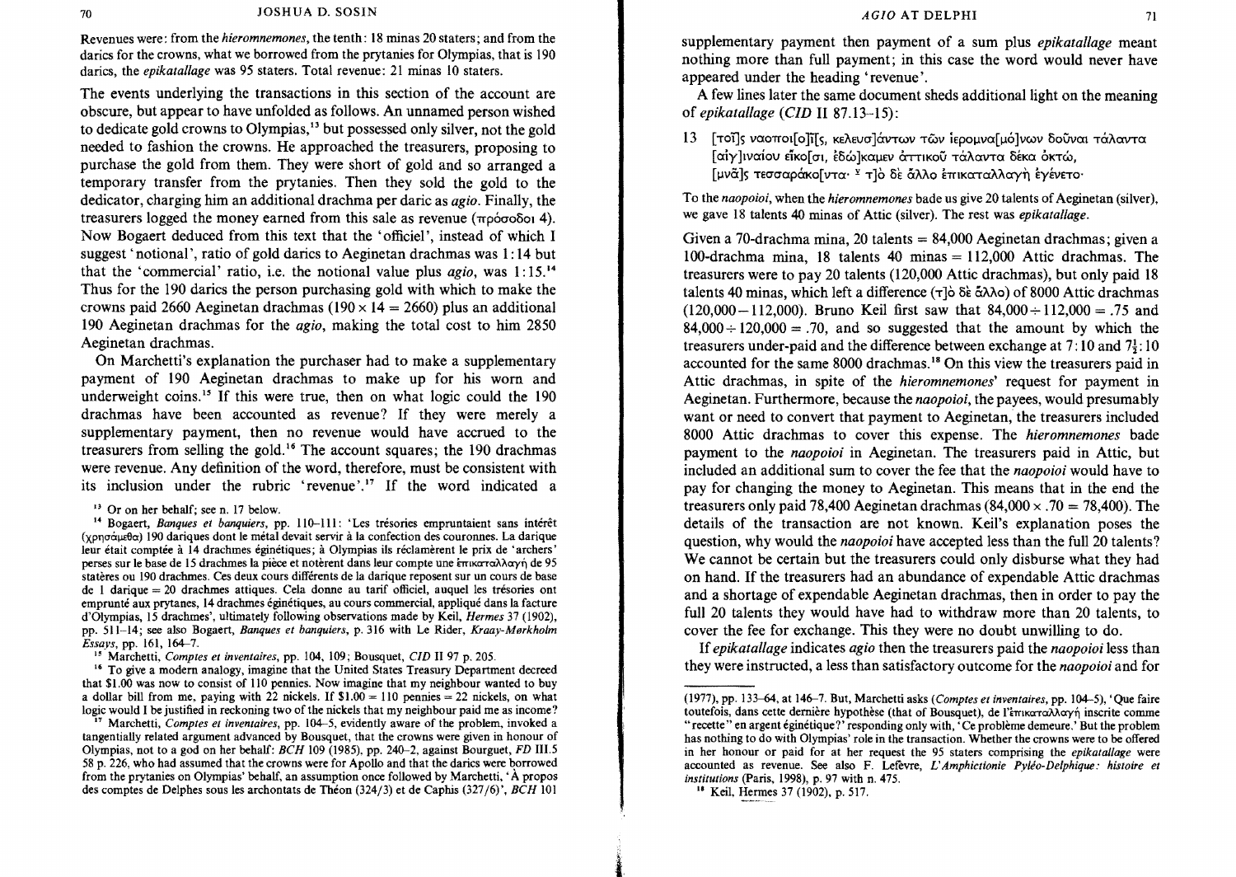Revenues were: from the *hieromnemones,* the tenth: 18 minas 20 staters; and from the darics for the crowns, what we borrowed from the prytanies for Olympias, that is 190 darics, the *epikatallage* was 95 staters. Total revenue: 21 minas 10 staters.

The events underlying the transactions in this section of the account are obscure, but appear to have unfolded as follows. An unnamed person wished to dedicate gold crowns to Olympias,'3 but possessed only silver, not the gold needed to fashion the crowns. He approached the treasurers, proposing to purchase the gold from them. They were short of gold and so arranged a temporary transfer from the prytanies. Then they sold the gold to the dedicator, charging him an additional drachma per daric as *agio.* Finally, the treasurers logged the money earned from this sale as revenue  $(\pi \rho \dot{\sigma} \sigma \delta \delta \dot{\sigma})$  4). Now Bogaert deduced from this text that the 'officiel', instead of which I suggest' notional', ratio of gold darics to Aeginetan drachmas was 1: 14 but that the 'commercial' ratio, i.e. the notional value plus *agio,* was 1: 15:4 Thus for the 190 darics the person purchasing gold with which to make the crowns paid 2660 Aeginetan drachmas (190  $\times$  14 = 2660) plus an additional 190 Aeginetan drachmas for the *agio,* making the total cost to him 2850 Aeginetan drachmas.

On Marchetti's explanation the purchaser had to make a supplementary payment of 190 Aeginetan drachmas to make up for his worn and underweight coins.<sup>15</sup> If this were true, then on what logic could the  $190$ drachmas have been accounted as revenue? If they were merely a supplementary payment, then no revenue would have accrued to the treasurers from selling the gold. 16 The account squares; the 190 drachmas were revenue. Any definition of the word, therefore, must be consistent with its inclusion under the rubric 'revenue'.<sup>17</sup> If the word indicated a

<sup>14</sup> Bogaert, *Banques et banquiers*, pp. 110-111: 'Les trésories empruntaient sans intérêt  $(\gamma \rho \sigma \sigma \alpha \mu \epsilon)$  190 dariques dont le métal devait servir à la confection des couronnes. La darique leur était comptée à 14 drachmes éginétiques; à Olympias ils réclamèrent le prix de 'archers' perses sur le base de 15 drachmes la pièce et notèrent dans leur compte une επικαταλλαγή de 95 stateres ou 190 drachmes. Ces deux cours differents de la darique reposent sur un cours de base de I darique 20 drachmes attiques. Cela donne au tarif officiel, auquel les tresories ont emprunte aux prytanes, 14 drachmes eginetiques, au cours commercial, applique dans la facture d'Olympias, 15 drachmes', ultimately following observations made by Keil, *Hermes* 37 (1902), pp. 511-14; see also Bogaert, *Banques et banquiers,* p. 316 with Le Rider, *Kraay-Merkholm Essays,* pp. 161, 164-7.

<sup>15</sup> Marchetti, *Comptes et inventaires*, pp. 104, 109; Bousquet, *CID* II 97 p. 205.

<sup>16</sup> To give a modern analogy, imagine that the United States Treasury Department decreed that \$1.00 was now to consist of 110 pennies. Now imagine that my neighbour wanted to buy a dollar bill from me, paying with 22 nickels. If  $$1.00 = 110$  pennies  $= 22$  nickels, on what logic would I be justified in reckoning two of the nickels that my neighbour paid me as income? supplementary payment then payment of a sum plus *epikatallage* meant nothing more than full payment; in this case the word would never have appeared under the heading' revenue'.

A few lines later the same document sheds additional light on the meaning of *epikatallage (CID* II 87.13-15):

13 [τοΐ]ς ναοποι[ο ή[ς, κελευσ]άντων των ιερομνα[μό]νων δούναι τάλαντα [αίγ]ιναίου είκο[σι, εδώ]καμεν αττικού τάλαντα δέκα οκτώ, [μνά]ς τεσσαράκο[ντα· <sup>γ</sup> τ]ὸ δὲ ἄλλο ἐπικαταλλαγὴ ἐγένετο·

To the *naopoioi,* when the *hieromnemones* bade us give 20 talents of Aeginetan (silver), we gave 18 talents 40 minas of Attic (silver). The rest was *epikatallage.* 

Given a 70-drachma mina, 20 talents = 84,000 Aeginetan drachmas; given a 100-drachma mina, 18 talents 40 minas  $= 112,000$  Attic drachmas. The treasurers were to pay 20 talents (120,000 Attic drachmas), but only paid 18 talents 40 minas, which left a difference ( $\tau$ ] $\delta$   $\delta \dot{\epsilon}$   $\dot{\alpha}$  $\lambda$  $\delta$ o) of 8000 Attic drachmas  $(120,000-112,000)$ . Bruno Keil first saw that  $84,000 \div 112,000 = .75$  and  $84,000 \div 120,000 = .70$ , and so suggested that the amount by which the treasurers under-paid and the difference between exchange at  $7:10$  and  $7\frac{1}{2}:10$ accounted for the same 8000 drachmas. 18 On this view the treasurers paid in Attic drachmas, in spite of the *hieromnemones'* request for payment in Aeginetan. Furthermore, because the *naopoioi,* the payees, would presumably want or need to convert that payment to Aeginetan, the treasurers included 8000 Attic drachmas to cover this expense. The *hieromnemones* bade payment to the *naopoioi* in Aeginetan. The treasurers paid in Attic, but included an additional sum to cover the fee that the *naopoioi* would have to pay for changing the money to Aeginetan. This means that in the end the treasurers only paid 78,400 Aeginetan drachmas  $(84,000 \times .70 = 78,400)$ . The details of the transaction are not known. Keil's explanation poses the question, why would the *naopoioi* have accepted less than the full 20 talents? We cannot be certain but the treasurers could only disburse what they had on hand. If the treasurers had an abundance of expendable Attic drachmas and a shortage of expendable Aeginetan drachmas, then in order to pay the full 20 talents they would have had to withdraw more than 20 talents, to cover the fee for exchange. This they were no doubt unwilling to do.

If *epikatallage* indicates *agio* then the treasurers paid the *naopoioi* less than they were instructed, a less than satisfactory outcome for the *naopoioi* and for

<sup>18</sup> Keil, Hermes 37 (1902), p. 517.

1.

<sup>13</sup> Or on her behalf; see n. 17 below.

<sup>17</sup> Marchetti, *Comptes et inventaires,* pp. 104-5, evidently aware of the problem, invoked a tangentially related argument advanced by Bousquet, that the crowns were given in honour of Olympias, not to a god on her behalf: *BCH* 109 (1985), pp. 240-2, against Bourguet, *FD* III.S 58 p. 226, who had assumed that the crowns were for Apollo and that the darics were borrowed from the prytanies on Olympias' behalf, an assumption once followed by Marchetti, ' A propos des comptes de Delphes sous les archon tats de Theon (324/3) et de Caphis (327/6)', *BCH 101* 

<sup>(1977),</sup> pp. 133--64, at 146-7. But, Marchetti asks *(Comptes et inventaires,* pp. 104-5), 'Que faire toutefois, dans cette dernière hypothèse (that of Bousquet), de l'επικαταλλαγή inscrite comme "recette" en argent eginetique?' responding only with, 'Ce probleme demeure.' But the problem has nothing to do with Olympias' role in the transaction. Whether the crowns were to be offered in her honour or paid for at her request the 95 staters comprising the *epikatallage* were accounted as revenue. See also F. Lefevre, *L' Amphictionie Pylio-Delph/que.' histoire et institutions* (paris, 1998), p. 97 with n. 475.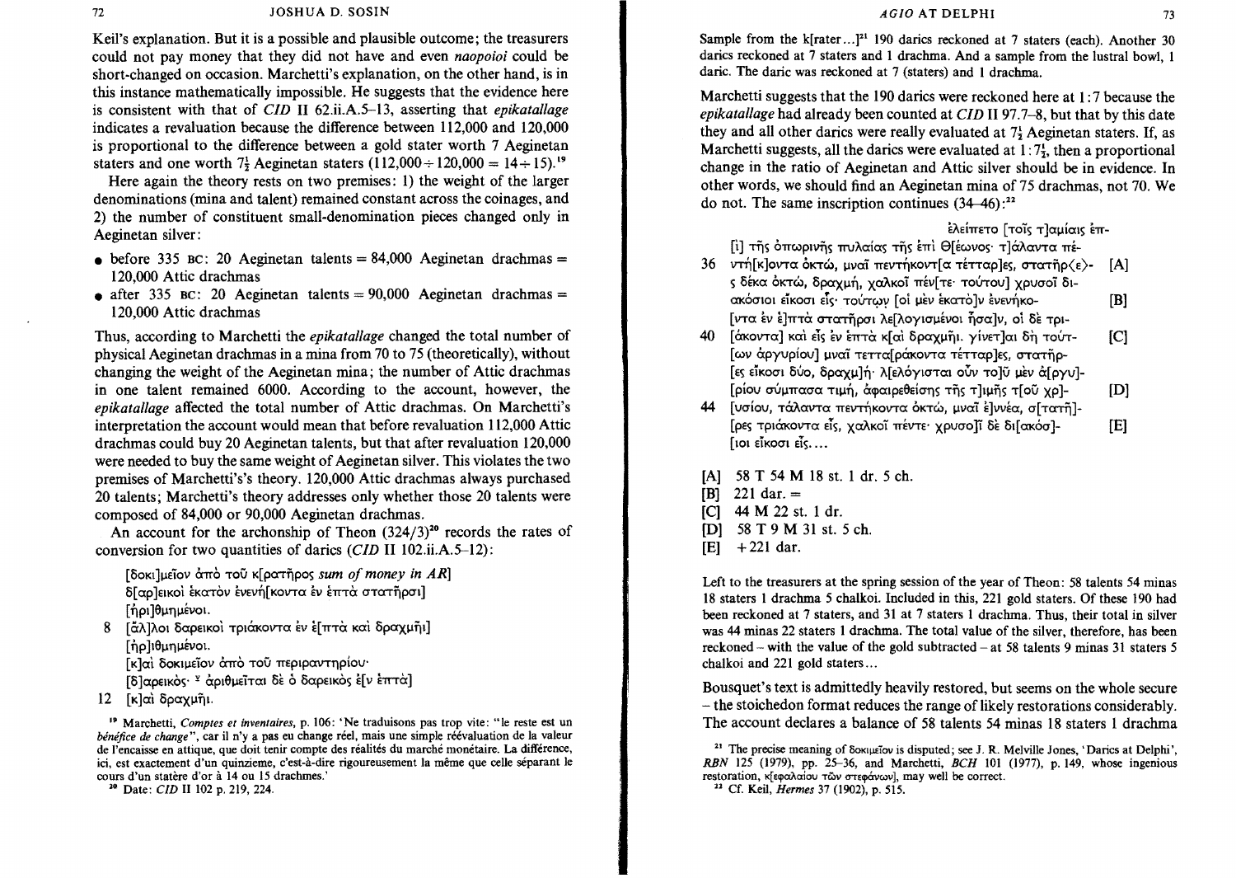Keil's explanation. But it is a possible and plausible outcome; the treasurers could not pay money that they did not have and even *naopoioi* could be short-changed on occasion. Marchetti's explanation, on the other hand, is in this instance mathematically impossible. He suggests that the evidence here is consistent with that of *CID* II 62.iLA.5-13, asserting that *epikatallage*  indicates a revaluation because the difference between 112,000 and 120,000 is proportional to the difference between a gold stater worth 7 Aeginetan staters and one worth  $7\frac{1}{2}$  Aeginetan staters (112,000 ÷ 120,000 = 14 ÷ 15).<sup>19</sup>

Here again the theory rests on two premises: 1) the weight of the larger denominations (mina and talent) remained constant across the coinages, and 2) the number of constituent small-denomination pieces changed only in Aeginetan silver:

- before 335 BC: 20 Aeginetan talents =  $84,000$  Aeginetan drachmas = 120,000 Attic drachmas
- after 335 BC: 20 Aeginetan talents =  $90,000$  Aeginetan drachmas = 120,000 Attic drachmas

Thus, according to Marchetti the *epikatallage* changed the total number of physical Aeginetan drachmas in a mina from 70 to 75 (theoretically), without changing the weight of the Aeginetan mina; the number of Attic drachmas in one talent remained 6000. According to the account, however, the *epikatallage* affected the total number of Attic drachmas. On Marchetti's interpretation the account would mean that before revaluation 112,000 Attic drachmas could buy 20 Aeginetan talents, but that after revaluation 120,000 were needed to buy the same weight of Aeginetan silver. This violates the two premises of Marchetti's's theory. 120,000 Attic drachmas always purchased 20 talents; Marchetti's theory addresses only whether those 20 talents were composed of 84,000 or 90,000 Aeginetan drachmas.

An account for the archonship of Theon  $(324/3)^{20}$  records the rates of conversion for two quantities of darics *(CID II 102.ii.A.5–12)*:

[δοκι]μεΐον άπό τοῦ κ[ρατῆρος sum of money in AR] δ[ αρ ]εικοί έκατον ένενή[ κοντα έν έπτα στατήρσι]  $[$ ηρι $]$ θμημένοι.

8 [άλ]λοι δαρεικοί τριάκοντα έν ε[πτά και δραχμήι]  $[$  $\n <sub>10</sub>$  $]\n <sub>10</sub>$  $]\n <sub>11</sub>$  $]\n <sub>12</sub>$  $]\n <sub>13</sub>$  $]\n$ 

Γκλαι δοκιμεΐον άπό του περιραντηρίου·

[δ]αρεικὸς·<sup>γ</sup> αριθμεῖται δε ο δαρεικὸς ε[ν επτα]

 $12$  [κ]αὶ δραχμῆι.

IP Marchetti, *Comptes et inventaires,* p. 106: 'Ne traduisons pas trop vite: "Ie reste est un *bénéfice de change"*, car il n'y a pas eu change réel, mais une simple réévaluation de la valeur de I'eneaisse en attique, que doit tenir compte des realites du marche monetaire. La difference, ici, est exactement d'un quinzieme, c'est-à-dire rigoureusement la même que celle séparant le cours d'un statère d'or à 14 ou 15 drachmes.'

10 Date: *ClD* II 102 p. 219, 224.

Sample from the k[rater ...]<sup>21</sup> 190 darics reckoned at 7 staters (each). Another 30 darics reckoned at 7 staters and 1 drachma. And a sample from the lustral bowl, 1 daric. The daric was reckoned at 7 (staters) and I drachma.

Marchetti suggests that the 190 darics were reckoned here at 1 : 7 because the *epikatallage* had already been counted at *CID* II 97.7-8, but that by this date they and all other darics were really evaluated at  $7\frac{1}{2}$  Aeginetan staters. If, as Marchetti suggests, all the darics were evaluated at  $1:7\frac{1}{2}$ , then a proportional change in the ratio of Aeginetan and Attic silver should be in evidence. In other words, we should find an Aeginetan mina of 75 drachmas, not 70. We do not. The same inscription continues  $(34-46)$ :<sup>22</sup>

Ελείπετο [τοϊς τ]αμίαις επ-[i] της όπωρινης πυλαίας της έπι Θ[έωνος· τ]άλαντα πέ-

- 36 ντή[κ]οντα όκτώ, μναϊ πεντήκοντ[α τέτταρ]ες, στατῆρ $\langle \varepsilon \rangle$  [A] ς δέκα όκτώ, δραχμή, χαλκοΐ πέν[τε· τούτου] χρυσοΐ διακόσιοι είκοσι είς· τούτων [oi μεν εκατο]ν ενενήκο- [B] [ ντα έν ε] πτα στατήρσι λε[λογισμένοι ήσα]ν, οι δε τρι-
- 40 [άκοντα] και είς εν επτά κ[αι δραχμήι. γίνετ]αι δη τούτ- [C] [ων άργυρίου] μναΐ τεττα[ράκοντα τέτταρ]ες, στατῆρ-[ες είκοσι δύο, δραχμ]ή· λ[ελόγισται οὖν το]ῦ μεν ά[ργυ]-[ρίου σύμπασα τιμή, άφαιρεθείσης της τ]ιμης τ[ού χρ]- [D]
- 44 [νσίου, τάλαντα πεντήκοντα όκτώ, μναϊ έ]ννέα, σ[τατῆ]-[ρες τριάκοντα είς, χαλκοί πέντε· χρυσο]ί δε δι[ακόσ]- [E]  $[101 \t{e}$ ikoo $1 \t{e}$ is. ...

[A] 58 T 54 M 18 st. 1 dr. 5 ch.  $[B]$  221 dar. = [C] 44 M 22 st. 1 dr. [D] 58 T 9 M 31 st. 5 ch.  $[E]$  + 221 dar.

Left to the treasurers at the spring session of the year of Theon: 58 talents 54 minas 18 staters I drachma 5 chalkoi. Included in this, 221 gold staters. Of these 190 had been reckoned at 7 staters, and 31 at 7 staters I drachma. Thus, their total in silver was 44 minas 22 staters 1 drachma. The total value of the silver, therefore, has been reckoned – with the value of the gold subtracted – at 58 talents 9 minas 31 staters 5 chalkoi and 221 gold staters ...

Bousquet's text is admittedly heavily restored, but seems on the whole secure - the stoichedon format reduces the range of likely restorations considerably. The account declares a balance of 58 talents 54 minas 18 staters 1 drachma

<sup>21</sup> The precise meaning of Soxiusiov is disputed; see J. R. Melville Jones, 'Darics at Delphi', *RBN* 125 (1979), pp. 25-36, and Marchetti, *8CH* 101 (1977), p. 149. whose ingenious restoration, κ[εφαλαίου τῶν στεφάνων], may well be correct.

<sup>22</sup> Cf. Keil, *Hermes* 37 (1902), p. 515.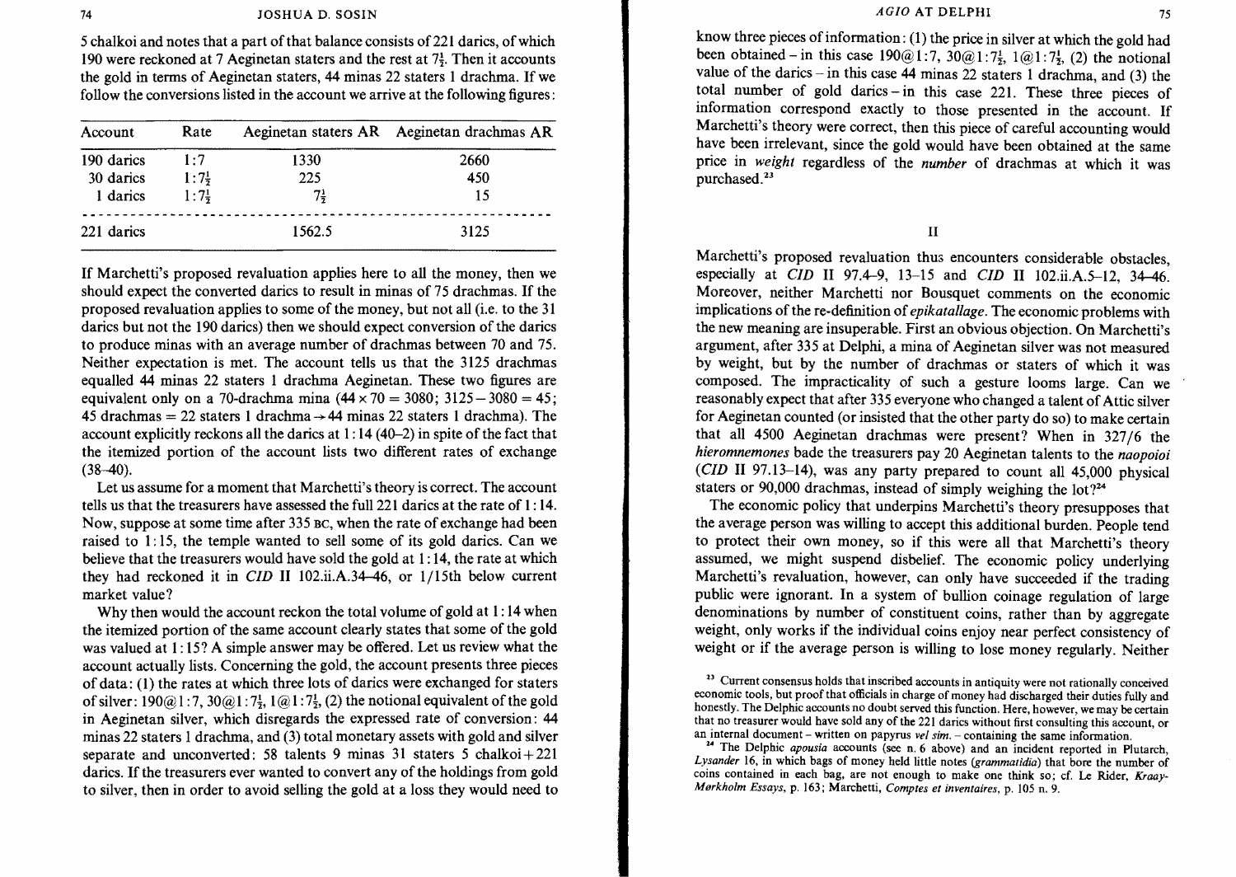5 chalkoi and notes that a part of that balance consists of 221 darics, of which 190 were reckoned at 7 Aeginetan staters and the rest at  $7\frac{1}{2}$ . Then it accounts the gold in terms of Aeginetan staters, 44 minas 22 staters 1 drachma. If we follow the conversions listed in the account we arrive at the following figures:

| Account    | Rate             |        | Aeginetan staters AR Aeginetan drachmas AR |  |
|------------|------------------|--------|--------------------------------------------|--|
| 190 daries | 1:7              | 1330   | 2660                                       |  |
| 30 daries  | $1:7\frac{1}{7}$ | 225    | 450                                        |  |
| 1 daries   | $1:7\frac{1}{2}$ | 71     | 15                                         |  |
| 221 darics |                  | 1562.5 | 3125                                       |  |

If Marchetti's proposed revaluation applies here to all the money, then we should expect the converted darics to result in minas of 75 drachmas. If the proposed revaluation applies to some of the money, but not all (i.e. to the 31 darics but not the 190 darics) then we should expect conversion of the darics to produce minas with an average number of drachmas between 70 and 75. Neither expectation is met. The account tells us that the 3125 drachmas equalled 44 minas 22 staters 1 drachma Aeginetan. These two figures are equivalent only on a 70-drachma mina  $(44 \times 70 = 3080; 3125 - 3080 = 45;$ 45 drachmas = 22 staters 1 drachma  $\rightarrow$  44 minas 22 staters 1 drachma). The account explicitly reckons all the darics at 1: 14 (40-2) in spite of the fact that the itemized portion of the account lists two different rates of exchange  $(38-40).$ 

Let us assume for a moment that Marchetti's theory is correct. The account tells us that the treasurers have assessed the ful1221 darics at the rate of 1: 14. Now, suppose at some time after 335 Be, when the rate of exchange had been raised to 1: 15, the temple wanted to sell some of its gold darics. Can we believe that the treasurers would have sold the gold at  $1:14$ , the rate at which they had reckoned it in *CID* II 102.iLA.34--46, or 1/15th below current market value?

Why then would the account reckon the total volume of gold at 1:14 when the itemized portion of the same account clearly states that some of the gold was valued at I: 15? A simple answer may be offered. Let us review what the account actually lists. Concerning the gold, the account presents three pieces of data: (1) the rates at which three lots of darics were exchanged for staters of silver:  $190@1:7$ ,  $30@1:7\frac{1}{2}$ ,  $1@1:7\frac{1}{2}$ , (2) the notional equivalent of the gold in Aeginetan silver, which disregards the expressed rate of conversion: 44 minas 22 staters I drachma, and (3) total monetary assets with gold and silver separate and unconverted: 58 talents 9 minas 31 staters 5 chalkoi+221 darics. If the treasurers ever wanted to convert any of the holdings from gold to silver, then in order to avoid selling the gold at a loss they would need to know three pieces of information: (l) the price in silver at which the gold had been obtained - in this case  $190@1:7$ ,  $30@1:7\frac{1}{2}$ ,  $1@1:7\frac{1}{2}$ , (2) the notional value of the darics – in this case 44 minas 22 staters 1 drachma, and (3) the total number of gold darics - in this case 221. These three pieces of information correspond exactly to those presented in the account. If Marchetti's theory were correct, then this piece of careful accounting would have been irrelevant, since the gold would have been obtained at the same price in *weight* regardless of the *number* of drachmas at which it was purchased.<sup>23</sup>

II

Marchetti's proposed revaluation thus encounters considerable obstacles. especially at *CID* II 97.4-9, 13-15 and *CID* II 102.ii.A.5-12, 34-46. Moreover, neither Marchetti nor Bousquet comments on the economic implications of the re-definition of *epikatallage.* The economic problems with the new meaning are insuperable. First an obvious objection. On Marchetti's argument, after 335 at Delphi, a mina of Aeginetan silver was not measured by weight, but by the number of drachmas or staters of which it was composed. The impracticality of such a gesture looms large. Can we reasonably expect that after 335 everyone who changed a talent of Attic silver for Aeginetan counted (or insisted that the other party do so) to make certain that all 4500 Aeginetan drachmas were present? When in 327/6 the *hieromnemones* bade the treasurers pay 20 Aeginetan talents to the *naopoioi (CID* II 97.13-14), was any party prepared to count all 45,000 physical staters or 90,000 drachmas, instead of simply weighing the lot?<sup>24</sup>

The economic policy that underpins Marchetti's theory presupposes that the average person was willing to accept this additional burden. People tend to protect their own money, so if this were all that Marchetti's theory assumed, we might suspend disbelief. The economic policy underlying Marchetti's revaluation, however, can only have succeeded if the trading public were ignorant. In a system of bullion coinage regulation of large denominations by number of constituent coins, rather than by aggregate weight, only works if the individual coins enjoy near perfect consistency of weight or if the average person is willing to lose money regularly. Neither

<sup>&</sup>lt;sup>23</sup> Current consensus holds that inscribed accounts in antiquity were not rationally conceived economic tools, but proof that officials in charge of money had discharged their duties fully and honestly. The Delphic accounts no doubt served this function. Here, however, we may be certain that no treasurer would have sold any of the 221 darics without first consulting this account, or an internal document – written on papyrus *vel sim.* – containing the same information.

<sup>&</sup>lt;sup>24</sup> The Delphic *apousia* accounts (see n. 6 above) and an incident reported in Plutarch, *Lysander* 16, in which bags of money held little notes *(grammatidia)* that bore the number of coins contained in each bag, are not enough to make one think so; cf. Le Rider, *Kraay-Mørkholm Essays, p. 163; Marchetti, Comptes et inventaires, p. 105 n. 9.*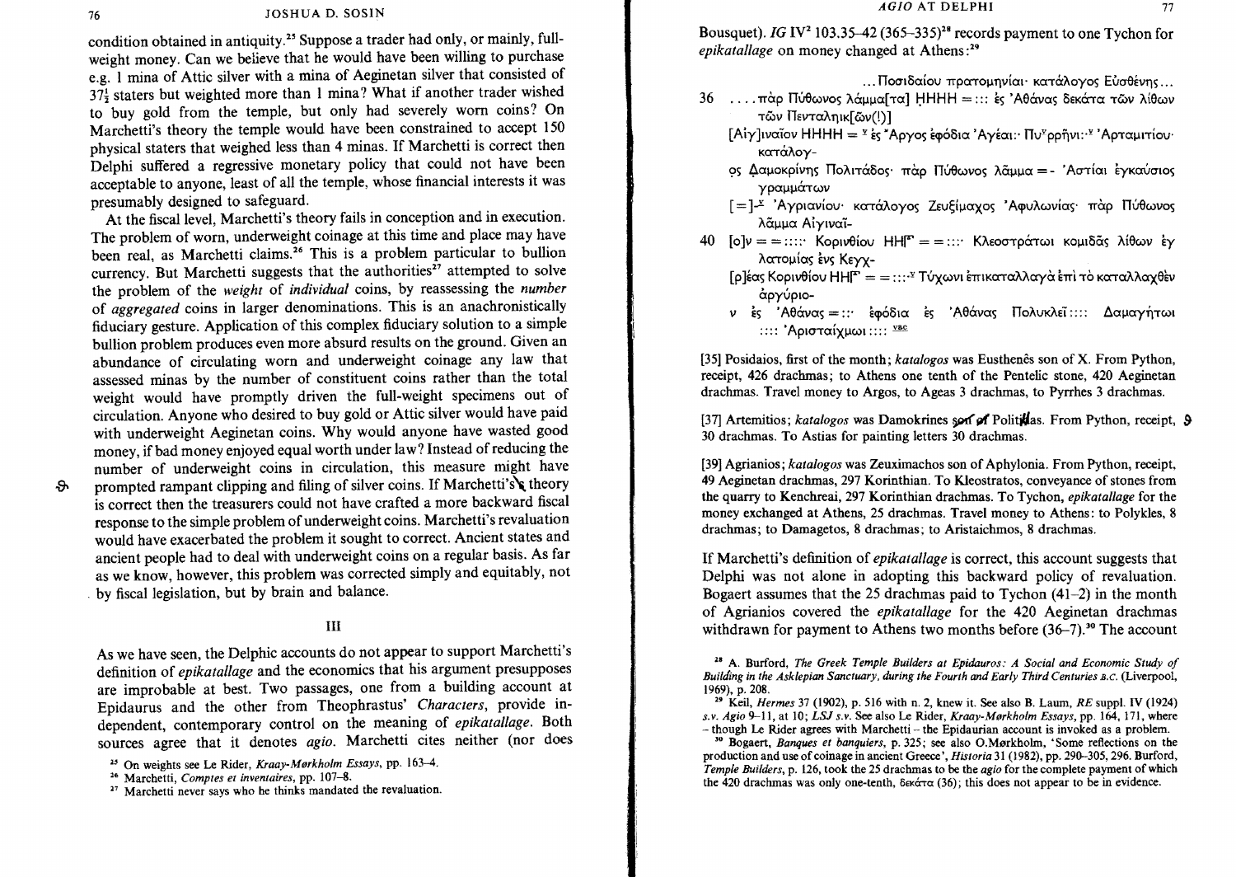condition obtained in antiquity.<sup>25</sup> Suppose a trader had only, or mainly, fullweight money. Can we believe that he would have been willing to purchase e.g. 1 mina of Attic silver with a mina of Aeginetan silver that consisted of  $137\frac{1}{2}$  staters but weighted more than 1 mina? What if another trader wished to buy gold from the temple, but only had severely worn coins? On Marchetti's theory the temple would have been constrained to accept 150 physical staters that weighed less than 4 minas. If Marchetti is correct then Delphi suffered a regressive monetary policy that could not have been acceptable to anyone, least of all the temple, whose financial interests it was presumably designed to safeguard.

At the fiscal level, Marchetti's theory fails in conception and in execution. The problem of worn, underweight coinage at this time and place may have been real, as Marchetti claims.<sup>26</sup> This is a problem particular to bullion currency. But Marchetti suggests that the authorities $27$  attempted to solve the problem of the *weight* of *individual* coins, by reassessing the *number*  of *aggregated* coins in larger denominations. This is an anachronistically fiduciary gesture. Application of this complex fiduciary solution to a simple bullion problem produces even more absurd results on the ground. Given an abundance of circulating worn and underweight coinage any law that assessed minas by the number of constituent coins rather than the total weight would have promptly driven the full-weight specimens out of circulation. Anyone who desired to buy gold or Attic silver would have paid with underweight Aeginetan coins. Why would anyone have wasted good money, if bad money enjoyed equal worth under law? Instead of reducing the number of underweight coins in circulation, this measure might have

-&

prompted rampant clipping and filing of silver coins. If Marchetti's theory is correct then the treasurers could not have crafted a more backward fiscal response to the simple problem of underweight coins. Marchetti's revaluation would have exacerbated the problem it sought to correct. Ancient states and ancient people had to deal with underweight coins on a regular basis. As far as we know, however, this problem was corrected simply and equitably, not by fiscal legislation, but by brain and balance.

## III

As we have seen, the Delphic accounts do not appear to support Marchetti's definition of *epikatallage* and the economics that his argument presupposes are improbable at best. Two passages, one from a building account at Epidaurus and the other from Theophrastus' *Characters,* provide independent, contemporary control on the meaning of *epikatallage.* Both sources agree that it denotes *agio.* Marchetti cites neither (nor does Bousquet). *IG* IV<sup>2</sup> 103.35–42 (365–335)<sup>28</sup> records payment to one Tychon for *epikatallage* on money changed at Athens:<sup>29</sup>

... Ποσιδαίου πρατομηνίαι· κατάλογος Ευσθένης...

- $36$  .... πάρ Πύθωνος λάμμα[τα] ΗΗΗΗ =::: ες Αθάνας δεκάτα τῶν λίθων τῶν Πενταληικ[ῶν(!)]
	- $[A<sup>i</sup>Y]$ ιναΐον ΗΗΗΗ = <sup>γ</sup>ές "Αργος έφόδια 'Αγέαι:· Πυ<sup>χ</sup>ρρῆνι:·<sup>γ</sup> 'Αρταμιτίου· κατάλογ-
	- OS Δαμοκρίνης Πολιτάδος· πάρ Πύθωνος λάμμα = 'Αστίαι έγκαύσιος γραμμάτων
	- [=]<sup>x</sup> 'Αγριανίου· κατάλογος Ζευξίμαχος 'Αφυλωνίας· πάρ Πύθωνος λᾶμμα Αίγιναϊ-
- *40* [o]v = = :::: Κορινθίου ΗΗ<sup>[</sup>" = = ::: Κλεοστράτωι κομιδᾶς λίθων έγ λατομίας ένς Κεγγ-
	- $[p]$ έας Κορινθίου ΗΗ $^{\mathbf{r}} = \cdots$ ' Τύχωνι έπικαταλλαγά έπι το καταλλαγθεν άργύριο-
	- *ν* ες 'Αθάνας = :: εφόδια ες 'Αθάνας Πολυκλεϊ :::: Δαμαγήτωι :::: 'Αρισταίχμωι :::: vac

[35] Posidaios, first of the month; *katalogos* was Eusthenês son of X. From Python, receipt, 426 drachmas; to Athens one tenth of the Pentelic stone, 420 Aeginetan drachmas. Travel money to Argos, to Ageas 3 drachmas, to Pyrrhes 3 drachmas.

[37] Artemitios; *katalogos* was Damokrines son of Politidas. From Python, receipt, 9 30 drachmas. To Astias for painting letters 30 drachmas.

[39] Agrianios; *katalogos* was Zeuximachos son of Aphylonia. From Python, receipt, 49 Aeginetan drachmas, 297 Korinthian. To Kleostratos, conveyance of stones from the quarry to Kenchreai, 297 Korinthian drachmas. To Tychon, *epikatallage* for the money exchanged at Athens, 25 drachmas. Travel money to Athens: to Polykles, 8 drachmas; to Damagetos, 8 drachmas; to Aristaichmos, 8 drachmas.

If Marchetti's definition of *epikatallage* is correct, this account suggests that Delphi was not alone in adopting this backward policy of revaluation. Bogaert assumes that the 25 drachmas paid to Tychon (41-2) in the month of Agrianios covered the *epikatallage* for the 420 Aeginetan drachmas withdrawn for payment to Athens two months before  $(36-7)$ .<sup>30</sup> The account

2. Kell, *Hermes* 37 (1902), p. 516 with n. 2, knew it. See also B. Laum, *RE* suppl. IV (1924) *s.l'. Agio* 9-11, at 10; *LSJ* S.l'. See also Le ruder, *Kraay-Morkholm Essays,* pp. 164, 171, where  $-$  though Le Rider agrees with Marchetti  $-$  the Epidaurian account is invoked as a problem.

<sup>30</sup> Bogaert, *Banques et banquiers*, p. 325; see also O.Mørkholm, 'Some reflections on the production and use of coinage in ancient Greece', *Historia* 31 (1982), pp. 290-305, 296. Burford, *Temple Builders,* p. 126, took the 25 drachmas to be the *agio* for the complete payment of which the 420 drachmas was only one-tenth,  $\delta \epsilon \times \Delta$  (36); this does not appear to be in evidence.

<sup>&</sup>lt;sup>25</sup> On weights see Le Rider, *Kraay-Mørkholm Essays*, pp. 163-4.

<sup>10</sup> Marchetti, *Comptes et inventaires,* pp. 107-8.

<sup>&</sup>lt;sup>27</sup> Marchetti never says who he thinks mandated the revaluation.

<sup>28</sup> A. Burford, *The Greek Temple Builders at Epidauros: A Social and Economic Study of Building in the Asklepian Sanctuary, during the Fourth and Early Third Centuries B.C.* (Liverpool, 1969), p. 208.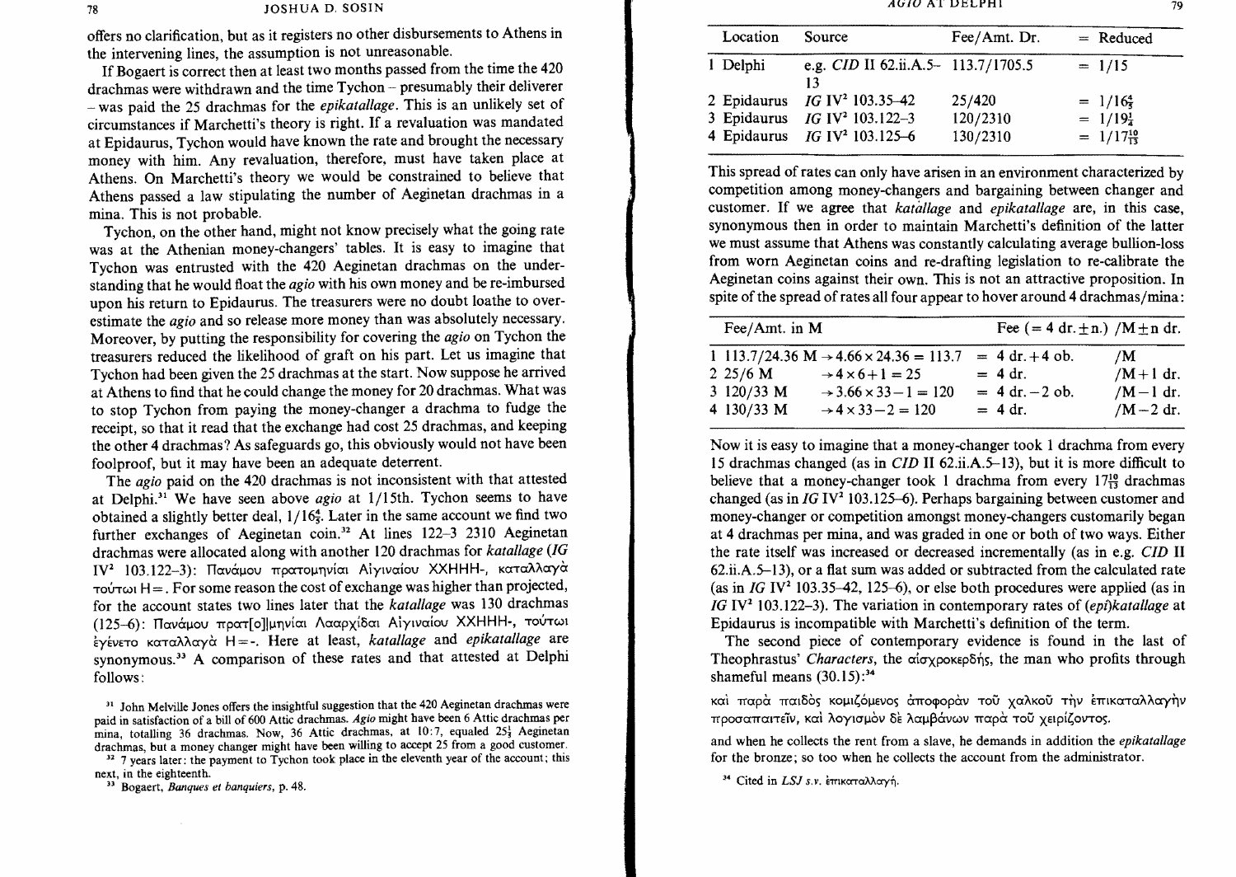AGIO AT DELPHI 79

78 JOSHUA D. SOSIN

offers no clarification, but as it registers no other disbursements to Athens in the intervening lines, the assumption is not unreasonable.

If Bogaert is correct then at least two months passed from the time the 420 drachmas were withdrawn and the time Tychon - presumably their deliverer - was paid the 25 drachmas for the *epikatal/age.* This is an unlikely set of circumstances if Marchetti's theory is right. If a revaluation was mandated at Epidaurus, Tychon would have known the rate and brought the necessary money with him. Any revaluation, therefore, must have taken place at Athens. On Marchetti's theory we would be constrained to believe that Athens passed a law stipulating the number of Aeginetan drachmas in a mina. This is not probable.

Tychon, on the other hand, might not know precisely what the going rate was at the Athenian money-changers' tables. It is easy to imagine that Tychon was entrusted with the 420 Aeginetan drachmas on the understanding that he would float the *agio* with his own money and be re-imbursed upon his return to Epidaurus. The treasurers were no doubt loathe to overestimate the *agio* and so release more money than was absolutely necessary. Moreover, by putting the responsibility for covering the *agio* on Tychon the treasurers reduced the likelihood of graft on his part. Let us imagine that Tychon had been given the 25 drachmas at the start. Now suppose he arrived at Athens to find that he could change the money for 20 drachmas. What was to stop Tychon from paying the money-changer a drachma to fudge the receipt, so that it read that the exchange had cost 25 drachmas, and keeping the other 4 drachmas? As safeguards go, this obviously would not have been foolproof, but it may have been an adequate deterrent.

The *agio* paid on the 420 drachmas is not inconsistent with that attested at Delphi.3' We have seen above *agio* at 1/15th. Tychon seems to have obtained a slightly better deal,  $1/16\frac{4}{5}$ . Later in the same account we find two further exchanges of Aeginetan coin.<sup>32</sup> At lines  $122-3$  2310 Aeginetan drachmas were allocated along with another 120 drachmas for *katallage (IG*   $IV^2$  103.122-3): Πανάμου πρατομηνίαι Αίγιναίου ΧΧΗΗΗ-, καταλλαγά  $TQV$ T $QV$ T $QV$  H = . For some reason the cost of exchange was higher than projected, for the account states two lines later that the *katallage* was 130 drachmas (125-6): Πανάμου πρατ[ο] μηνίαι Λααρχίδαι Αίγιναίου ΧΧΗΗΗ-, τούτωι EyEVETO KaTaAAaya H = -. Here at least, *katal/age* and *epikatallage* are synonymous.<sup>33</sup> A comparison of these rates and that attested at Delphi follows:

<sup>32</sup> 7 years later: the payment to Tychon took place in the eleventh year of the account; this next, in the eighteenth.

<sup>33</sup> Bogaert, *Banques et banquiers*, p. 48.

| Location    | Source                                                                                            | Fee/Amt. Dr.                   | $=$ Reduced                                                                 |
|-------------|---------------------------------------------------------------------------------------------------|--------------------------------|-----------------------------------------------------------------------------|
| 1 Delphi    | e.g. CID II 62.ii.A.5- 113.7/1705.5<br>13                                                         |                                | $= 1/15$                                                                    |
| 2 Epidaurus | $IG IV2 103.35-42$<br>3 Epidaurus $IG IV^2 103.122-3$<br>4 Epidaurus IG IV <sup>2</sup> 103.125-6 | 25/420<br>120/2310<br>130/2310 | $= 1/16\frac{4}{5}$<br>$= 1/19_{\overline{4}}^{1}$<br>$= 1/17\frac{10}{13}$ |

This spread of rates can only have arisen in an environment characterized by competition among money-changers and bargaining between changer and customer. If we agree that *katal/age* and *epikatallage* are, in this case, synonymous then in order to maintain Marchetti's definition of the latter we must assume that Athens was constantly calculating average bullion-loss from worn Aeginetan coins and re-drafting legislation to re-calibrate the Aeginetan coins against their own. This is not an attractive proposition. In spite of the spread of rates all four appear to hover around 4 drachmas/mina:

| Fee/Amt. in M                            |                                                                                                                                                                                         | Fee $(= 4 dr \pm n) / M \pm n dr$ .                             |                                               |  |
|------------------------------------------|-----------------------------------------------------------------------------------------------------------------------------------------------------------------------------------------|-----------------------------------------------------------------|-----------------------------------------------|--|
| $2\;25/6\;M$<br>3 120/33 M<br>4 130/33 M | 1 113.7/24.36 M $\rightarrow$ 4.66 $\times$ 24.36 = 113.7<br>$\rightarrow$ 4 $\times$ 6 + 1 = 25<br>$\rightarrow$ 3.66 $\times$ 33 $-1 = 120$<br>$\rightarrow$ 4 $\times$ 33 $-2$ = 120 | $= 4 dr + 4 ob.$<br>$= 4 dr.$<br>$= 4 dr. - 2 ob.$<br>$= 4 dr.$ | /M<br>$/M+1$ dr.<br>$/M-1$ dr.<br>/M $-2$ dr. |  |

Now it is easy to imagine that a money-changer took 1 drachma from every 15 drachmas changed (as in *CID* II 62.ii.A.5-13), but it is more difficult to believe that a money-changer took 1 drachma from every  $17\frac{10}{13}$  drachmas changed (as in  $IG IV<sup>2</sup>$  103.125-6). Perhaps bargaining between customer and money-changer or competition amongst money-changers customarily began at 4 drachmas per mina, and was graded in one or both of two ways. Either the rate itself was increased or decreased incrementally (as in e.g. *CID* II 62.ii.A.5-13), or a flat sum was added or subtracted from the calculated rate (as in  $IG IV<sup>2</sup> 103.35-42$ , 125-6), or else both procedures were applied (as in *IG* IV<sup>2</sup> 103.122-3). The variation in contemporary rates of *(epi)katallage* at Epidaurus is incompatible with Marchetti's definition of the term.

The second piece of contemporary evidence is found in the last of Theophrastus' *Characters*, the αισχροκερδής, the man who profits through shameful means  $(30.15)$ :<sup>34</sup>

και παρά παιδός κομιζόμενος άποφοράν τοῦ χαλκοῦ την ἐπικαταλλαγήν προσαπαιτεΐν, και λογισμον δε λαμβάνων παρα του χειρίζοντος.

and when he collects the rent from a slave, he demands in addition the *epikatallage*  for the bronze; so too when he collects the account from the administrator.

<sup>34</sup> Cited in LSJ s.v. επικαταλλαγή.

<sup>&</sup>lt;sup>31</sup> John Melville Jones offers the insightful suggestion that the 420 Aeginetan drachmas were paid in satisfaction of a bill of 600 Attic drachmas. *Agio* might have been 6 Attic drachmas per mina, totalling 36 drachmas. Now, 36 Attic drachmas, at 10:7, equaled 25<sup>1</sup> Aeginetan drachmas, but a money changer might have been willing to accept 25 from a good customer.